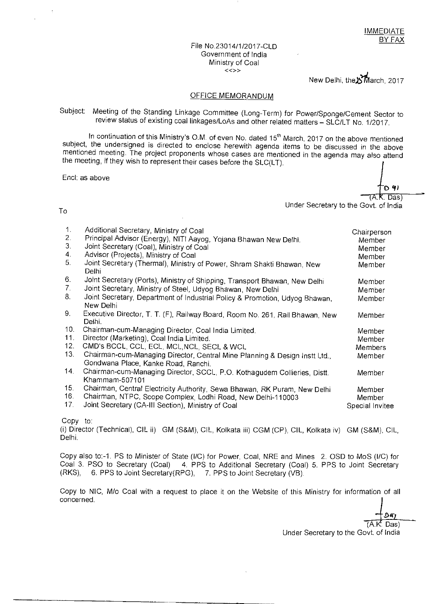#### File No.23014/1/2017-CLD Government of India Ministry of Coal  $\lt\lt>>$

New Delhi, the $\Sigma$ March, 2017

#### OFFICE MEMORANDUM

Subject: Meeting of the Standing Linkage Committee (Long-Term) for Power/Sponge/Cement Sector to review status of existing coal linkages/LoAs and other related matters - SLC/LT No. 1/2017.

In continuation of this Ministry's O.M. of even No. dated 15<sup>th</sup> March, 2017 on the above mentioned subject, the undersigned is directed to enclose herewith agenda items to be discussed in the above mentioned meeting. The project proponents whose cases are mentioned in the agenda may also attend the meeting, if they wish to represent their cases before the SLC(LT).

Encl: as above

4) Das)

Under Secretary to the Govt. of India

#### To

| 1.<br>2.<br>3 <sub>1</sub><br>4.<br>5. | Additional Secretary, Ministry of Coal<br>Principal Advisor (Energy), NITI Aayog, Yojana Bhawan New Delhi.<br>Joint Secretary (Coal), Ministry of Coal<br>Advisor (Projects), Ministry of Coal<br>Joint Secretary (Thermal), Ministry of Power, Shram Shakti Bhawan, New<br>Delhi | Chairperson<br>Member<br>Member<br>Member<br>Member |
|----------------------------------------|-----------------------------------------------------------------------------------------------------------------------------------------------------------------------------------------------------------------------------------------------------------------------------------|-----------------------------------------------------|
| 6.                                     | Joint Secretary (Ports), Ministry of Shipping, Transport Bhawan, New Delhi                                                                                                                                                                                                        | Member                                              |
| 7.                                     | Joint Secretary, Ministry of Steel, Udyog Bhawan, New Delhi                                                                                                                                                                                                                       | Member                                              |
| 8.                                     | Joint Secretary, Department of Industrial Policy & Promotion, Udyog Bhawan,<br>New Delhi                                                                                                                                                                                          | Member                                              |
| 9.                                     | Executive Director, T. T. (F), Railway Board, Room No. 261, Rail Bhawan, New<br>Delhi.                                                                                                                                                                                            | Member                                              |
| 10.                                    | Chairman-cum-Managing Director, Coal India Limited.                                                                                                                                                                                                                               | Member                                              |
| 11.                                    | Director (Marketing), Coal India Limited.                                                                                                                                                                                                                                         | Member                                              |
| 12.                                    | CMD's BCCL, CCL, ECL, MCL, NCL, SECL & WCL                                                                                                                                                                                                                                        | Members                                             |
| 13.                                    | Chairman-cum-Managing Director, Central Mine Planning & Design Instt Ltd.,<br>Gondwana Place, Kanke Road, Ranchi.                                                                                                                                                                 | Member                                              |
| 14.                                    | Chairman-cum-Managing Director, SCCL, P.O. Kothagudem Collieries, Distt.<br>Khammam-507101                                                                                                                                                                                        | Member                                              |
| 15.                                    | Chairman, Central Electricity Authority, Sewa Bhawan, RK Puram, New Delhi                                                                                                                                                                                                         | Member                                              |
| 16.                                    | Chairman, NTPC, Scope Complex, Lodhi Road, New Delhi-110003                                                                                                                                                                                                                       | Member                                              |
| 17.                                    | Joint Secretary (CA-III Section), Ministry of Coal                                                                                                                                                                                                                                | Special Invitee                                     |

Copy to:

(i) Director (Technical), CIL ii) GM (S&M), CIL, Kolkata iii) CGM (CP), CIL, Kolkata iv) GM (S&M), CIL, Delhi.

Copy also to:-1. PS to Minister of State (I/C) for Power, Coal, NRE and Mines 2. OSD to MoS (I/C) for Coal 3. PSO to Secretary (Coal) 4. PPS to Additional Secretary (Coal) 5. PPS to Joint Secretary (RKS), 6. PPS to Joint Secretary(RPG), 7. PPS to Joint Secretary (VB).

Copy to NIC, M/o Coal with a request to place it on the Website of this Ministry for information of all concerned.

Daj (A.K. Das)

Under Secretary to the Govt. of India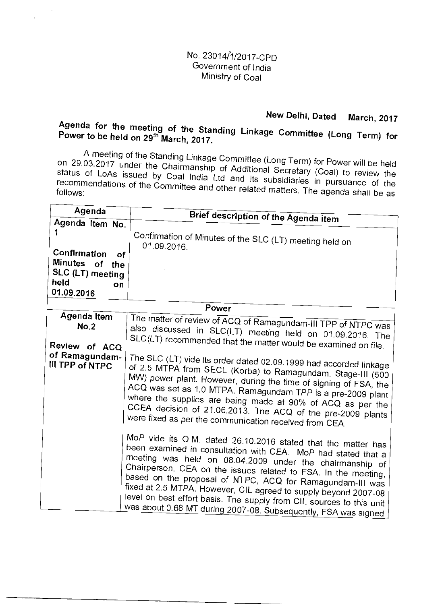#### No. 23014%1/2017-CPO Government of India Ministry of Coal

### **New Delhi, Dated March, 2017**

## **Agenda for the meeting of the Standing Linkage Committee (Long Term) for Power to be held on 29th March, 2017.**

A meeting of the Standing Linkage Committee (Long Term) for Power will be held on 29.03.2017 under the Chairmanship of Additional Secretary (Coal) to review the status of LoAs issued by Coal India Ltd and its subsidiaries in pursuance of the recommendations of the Committee and other related matters. The agenda shall be as

| Agenda                                                                                  |                                                                                                                                                                                                                                                                                                                                                                                                                                                                                                                                                                                                                                                            |
|-----------------------------------------------------------------------------------------|------------------------------------------------------------------------------------------------------------------------------------------------------------------------------------------------------------------------------------------------------------------------------------------------------------------------------------------------------------------------------------------------------------------------------------------------------------------------------------------------------------------------------------------------------------------------------------------------------------------------------------------------------------|
| Agenda Item No.                                                                         | Brief description of the Agenda item                                                                                                                                                                                                                                                                                                                                                                                                                                                                                                                                                                                                                       |
| 1                                                                                       | Confirmation of Minutes of the SLC (LT) meeting held on<br>01.09.2016.                                                                                                                                                                                                                                                                                                                                                                                                                                                                                                                                                                                     |
| Confirmation<br>οf<br>Minutes of<br>the<br>SLC (LT) meeting<br>held<br>on<br>01.09.2016 |                                                                                                                                                                                                                                                                                                                                                                                                                                                                                                                                                                                                                                                            |
|                                                                                         | Power                                                                                                                                                                                                                                                                                                                                                                                                                                                                                                                                                                                                                                                      |
| Agenda Item<br>No.2<br>Review of ACQ<br>of Ramagundam-<br>III TPP of NTPC               | The matter of review of ACQ of Ramagundam-III TPP of NTPC was<br>also discussed in SLC(LT) meeting held on 01.09.2016. The<br>SLC(LT) recommended that the matter would be examined on file.<br>The SLC (LT) vide its order dated 02.09.1999 had accorded linkage<br>of 2.5 MTPA from SECL (Korba) to Ramagundam, Stage-III (500<br>MW) power plant. However, during the time of signing of FSA, the<br>ACQ was set as 1.0 MTPA. Ramagundam TPP is a pre-2009 plant<br>where the supplies are being made at 90% of ACQ as per the<br>CCEA decision of 21.06.2013. The ACQ of the pre-2009 plants<br>were fixed as per the communication received from CEA. |
|                                                                                         | MoP vide its O.M. dated 26.10.2016 stated that the matter has<br>been examined in consultation with CEA. MoP had stated that a<br>meeting was held on 08.04.2009 under the chairmanship of<br>Chairperson, CEA on the issues related to FSA. In the meeting,<br>based on the proposal of NTPC, ACQ for Ramagundam-III was<br>fixed at 2.5 MTPA. However, CIL agreed to supply beyond 2007-08<br>level on best effort basis. The supply from CIL sources to this unit<br>was about 0.68 MT during 2007-08. Subsequently, FSA was signed                                                                                                                     |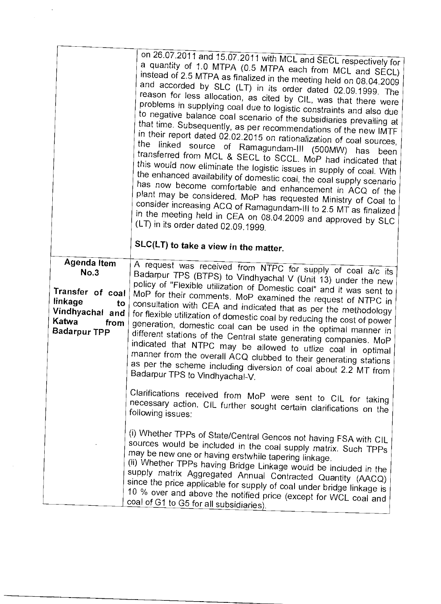|                             | on 26.07.2011 and 15.07.2011 with MCL and SECL respectively for<br>a quantity of 1.0 MTPA (0.5 MTPA each from MCL and SECL)<br>instead of 2.5 MTPA as finalized in the meeting held on 08.04.2009<br>and accorded by SLC (LT) in its order dated 02.09.1999. The<br>reason for less allocation, as cited by CIL, was that there were<br>problems in supplying coal due to logistic constraints and also due<br>to negative balance coal scenario of the subsidiaries prevailing at<br>that time. Subsequently, as per recommendations of the new IMTF<br>in their report dated 02.02.2015 on rationalization of coal sources,<br>the linked source of Ramagundam-III (500MW) has<br>been<br>transferred from MCL & SECL to SCCL. MoP had indicated that<br>this would now eliminate the logistic issues in supply of coal. With<br>the enhanced availability of domestic coal, the coal supply scenario<br>has now become comfortable and enhancement in ACQ of the<br>plant may be considered. MoP has requested Ministry of Coal to<br>consider increasing ACQ of Ramagundam-III to 2.5 MT as finalized<br>in the meeting held in CEA on 08.04.2009 and approved by SLC<br>$(LT)$ in its order dated 02.09.1999.<br>SLC(LT) to take a view in the matter. |
|-----------------------------|-------------------------------------------------------------------------------------------------------------------------------------------------------------------------------------------------------------------------------------------------------------------------------------------------------------------------------------------------------------------------------------------------------------------------------------------------------------------------------------------------------------------------------------------------------------------------------------------------------------------------------------------------------------------------------------------------------------------------------------------------------------------------------------------------------------------------------------------------------------------------------------------------------------------------------------------------------------------------------------------------------------------------------------------------------------------------------------------------------------------------------------------------------------------------------------------------------------------------------------------------------------|
|                             |                                                                                                                                                                                                                                                                                                                                                                                                                                                                                                                                                                                                                                                                                                                                                                                                                                                                                                                                                                                                                                                                                                                                                                                                                                                             |
| <b>Agenda Item</b>          | A request was received from NTPC for supply of coal a/c its                                                                                                                                                                                                                                                                                                                                                                                                                                                                                                                                                                                                                                                                                                                                                                                                                                                                                                                                                                                                                                                                                                                                                                                                 |
| No.3                        | Badarpur TPS (BTPS) to Vindhyachal V (Unit 13) under the new                                                                                                                                                                                                                                                                                                                                                                                                                                                                                                                                                                                                                                                                                                                                                                                                                                                                                                                                                                                                                                                                                                                                                                                                |
|                             | policy of "Flexible utilization of Domestic coal" and it was sent to                                                                                                                                                                                                                                                                                                                                                                                                                                                                                                                                                                                                                                                                                                                                                                                                                                                                                                                                                                                                                                                                                                                                                                                        |
| Transfer of coal<br>linkage | MoP for their comments. MoP examined the request of NTPC in                                                                                                                                                                                                                                                                                                                                                                                                                                                                                                                                                                                                                                                                                                                                                                                                                                                                                                                                                                                                                                                                                                                                                                                                 |
| to                          | consultation with CEA and indicated that as per the methodology                                                                                                                                                                                                                                                                                                                                                                                                                                                                                                                                                                                                                                                                                                                                                                                                                                                                                                                                                                                                                                                                                                                                                                                             |
| Vindhyachal and<br>Katwa    | for flexible utilization of domestic coal by reducing the cost of power                                                                                                                                                                                                                                                                                                                                                                                                                                                                                                                                                                                                                                                                                                                                                                                                                                                                                                                                                                                                                                                                                                                                                                                     |
| from<br><b>Badarpur TPP</b> | generation, domestic coal can be used in the optimal manner in                                                                                                                                                                                                                                                                                                                                                                                                                                                                                                                                                                                                                                                                                                                                                                                                                                                                                                                                                                                                                                                                                                                                                                                              |
|                             | different stations of the Central state generating companies. MoP                                                                                                                                                                                                                                                                                                                                                                                                                                                                                                                                                                                                                                                                                                                                                                                                                                                                                                                                                                                                                                                                                                                                                                                           |
|                             | indicated that NTPC may be allowed to utlize coal in optimal                                                                                                                                                                                                                                                                                                                                                                                                                                                                                                                                                                                                                                                                                                                                                                                                                                                                                                                                                                                                                                                                                                                                                                                                |
|                             | manner from the overall ACQ clubbed to their generating stations                                                                                                                                                                                                                                                                                                                                                                                                                                                                                                                                                                                                                                                                                                                                                                                                                                                                                                                                                                                                                                                                                                                                                                                            |
|                             | as per the scheme including diversion of coal about 2.2 MT from                                                                                                                                                                                                                                                                                                                                                                                                                                                                                                                                                                                                                                                                                                                                                                                                                                                                                                                                                                                                                                                                                                                                                                                             |
|                             | Badarpur TPS to Vindhyachal-V.                                                                                                                                                                                                                                                                                                                                                                                                                                                                                                                                                                                                                                                                                                                                                                                                                                                                                                                                                                                                                                                                                                                                                                                                                              |
|                             |                                                                                                                                                                                                                                                                                                                                                                                                                                                                                                                                                                                                                                                                                                                                                                                                                                                                                                                                                                                                                                                                                                                                                                                                                                                             |
|                             | Clarifications received from MoP were sent to CIL for taking                                                                                                                                                                                                                                                                                                                                                                                                                                                                                                                                                                                                                                                                                                                                                                                                                                                                                                                                                                                                                                                                                                                                                                                                |
|                             | necessary action. CIL further sought certain clarifications on the<br>following issues:                                                                                                                                                                                                                                                                                                                                                                                                                                                                                                                                                                                                                                                                                                                                                                                                                                                                                                                                                                                                                                                                                                                                                                     |
|                             |                                                                                                                                                                                                                                                                                                                                                                                                                                                                                                                                                                                                                                                                                                                                                                                                                                                                                                                                                                                                                                                                                                                                                                                                                                                             |
|                             | (i) Whether TPPs of State/Central Gencos not having FSA with CIL                                                                                                                                                                                                                                                                                                                                                                                                                                                                                                                                                                                                                                                                                                                                                                                                                                                                                                                                                                                                                                                                                                                                                                                            |
|                             | sources would be included in the coal supply matrix. Such TPPs                                                                                                                                                                                                                                                                                                                                                                                                                                                                                                                                                                                                                                                                                                                                                                                                                                                                                                                                                                                                                                                                                                                                                                                              |
|                             | may be new one or having erstwhile tapering linkage.                                                                                                                                                                                                                                                                                                                                                                                                                                                                                                                                                                                                                                                                                                                                                                                                                                                                                                                                                                                                                                                                                                                                                                                                        |
|                             | (ii) Whether TPPs having Bridge Linkage would be included in the                                                                                                                                                                                                                                                                                                                                                                                                                                                                                                                                                                                                                                                                                                                                                                                                                                                                                                                                                                                                                                                                                                                                                                                            |
|                             | supply matrix Aggregated Annual Contracted Quantity (AACQ)                                                                                                                                                                                                                                                                                                                                                                                                                                                                                                                                                                                                                                                                                                                                                                                                                                                                                                                                                                                                                                                                                                                                                                                                  |
|                             | since the price applicable for supply of coal under bridge linkage is                                                                                                                                                                                                                                                                                                                                                                                                                                                                                                                                                                                                                                                                                                                                                                                                                                                                                                                                                                                                                                                                                                                                                                                       |
|                             | 10 % over and above the notified price (except for WCL coal and                                                                                                                                                                                                                                                                                                                                                                                                                                                                                                                                                                                                                                                                                                                                                                                                                                                                                                                                                                                                                                                                                                                                                                                             |
|                             | coal of G1 to G5 for all subsidiaries).                                                                                                                                                                                                                                                                                                                                                                                                                                                                                                                                                                                                                                                                                                                                                                                                                                                                                                                                                                                                                                                                                                                                                                                                                     |

 $\label{eq:1} \frac{1}{\sqrt{2}}\left(\frac{1}{2}\right)^2$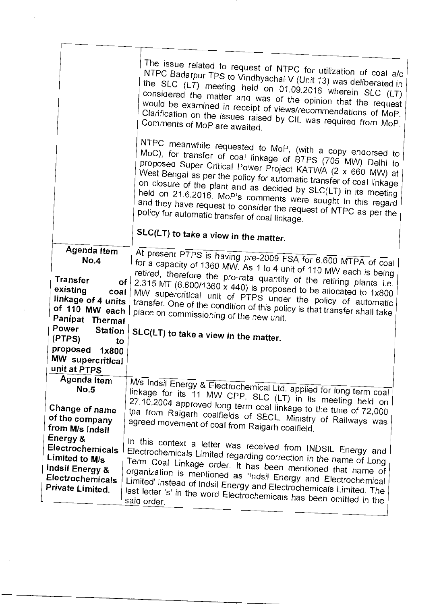|                                                                                                           | The issue related to request of NTPC for utilization of coal a/c<br>NTPC Badarpur TPS to Vindhyachal-V (Unit 13) was deliberated in<br>the SLC (LT) meeting held on 01.09.2016 wherein SLC (LT)<br>considered the matter and was of the opinion that the request<br>would be examined in receipt of views/recommendations of MoP.<br>Clarification on the issues raised by CIL was required from MoP.<br>Comments of MoP are awaited.                                                                                      |
|-----------------------------------------------------------------------------------------------------------|----------------------------------------------------------------------------------------------------------------------------------------------------------------------------------------------------------------------------------------------------------------------------------------------------------------------------------------------------------------------------------------------------------------------------------------------------------------------------------------------------------------------------|
|                                                                                                           | NTPC meanwhile requested to MoP, (with a copy endorsed to<br>MoC), for transfer of coal linkage of BTPS (705 MW) Delhi to<br>proposed Super Critical Power Project KATWA (2 x 660 MW) at<br>West Bengal as per the policy for automatic transfer of coal linkage<br>on closure of the plant and as decided by SLC(LT) in its meeting<br>held on 21.6.2016. MoP's comments were sought in this regard<br>and they have request to consider the request of NTPC as per the<br>policy for automatic transfer of coal linkage. |
|                                                                                                           | SLC(LT) to take a view in the matter.                                                                                                                                                                                                                                                                                                                                                                                                                                                                                      |
| Agenda Item                                                                                               |                                                                                                                                                                                                                                                                                                                                                                                                                                                                                                                            |
| No.4                                                                                                      | At present PTPS is having pre-2009 FSA for 6.600 MTPA of coal                                                                                                                                                                                                                                                                                                                                                                                                                                                              |
| Transfer<br>оf<br>existing<br>$\cot$<br>linkage of 4 units<br>of 110 MW each<br>Panipat Thermal           | for a capacity of 1360 MW. As 1 to 4 unit of 110 MW each is being<br>retired, therefore the pro-rata quantity of the retiring plants i.e.<br>2.315 MT (6.600/1360 x 440) is proposed to be allocated to $1x800$<br>MW supercritical unit of PTPS under the policy of automatic<br>transfer. One of the condition of this policy is that transfer shall take<br>place on commissioning of the new unit.                                                                                                                     |
| Power Station                                                                                             | SLC(LT) to take a view in the matter.                                                                                                                                                                                                                                                                                                                                                                                                                                                                                      |
| (PTPS)<br>to                                                                                              |                                                                                                                                                                                                                                                                                                                                                                                                                                                                                                                            |
| proposed 1x800<br>MW supercritical<br>unit at PTPS                                                        |                                                                                                                                                                                                                                                                                                                                                                                                                                                                                                                            |
| <b>Agenda Item</b><br>No.5                                                                                | M/s Indsil Energy & Electrochemical Ltd. applied for long term coal<br>linkage for its 11 MW CPP. SLC (LT) in its meeting held on                                                                                                                                                                                                                                                                                                                                                                                          |
| Change of name<br>of the company<br>from M/s Indsil                                                       | 27.10.2004 approved long term coal linkage to the tune of 72,000<br>tpa from Raigarh coalfields of SECL. Ministry of Railways was<br>agreed movement of coal from Raigarh coalfield.                                                                                                                                                                                                                                                                                                                                       |
| Energy &<br>Electrochemicals<br>Limited to M/s<br>Indsil Energy &<br>Electrochemicals<br>Private Limited. | In this context a letter was received from INDSIL Energy and<br>Electrochemicals Limited regarding correction in the name of Long<br>Term Coal Linkage order. It has been mentioned that name of<br>organization is mentioned as 'Indsil Energy and Electrochemical<br>Limited' instead of Indsil Energy and Electrochemicals Limited. The<br>last letter 's' in the word Electrochemicals has been omitted in the<br>said order.                                                                                          |
|                                                                                                           |                                                                                                                                                                                                                                                                                                                                                                                                                                                                                                                            |

 $\label{eq:2} \frac{1}{\sqrt{2}}\left(\frac{1}{\sqrt{2}}\right)^2$ 

 $\frac{1}{2}$ 

 $\ddot{\phantom{0}}$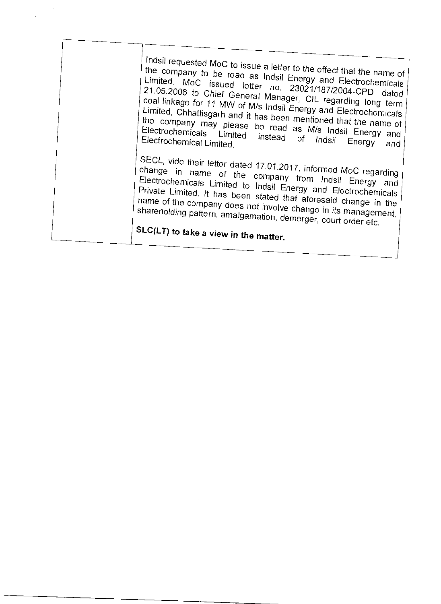| Indsil requested MoC to issue a letter to the effect that the name of<br>the company to be read as Indsil Energy and Electrochemicals<br>Limited. MoC issued letter no. 23021/187/2004-CPD dated<br>21.05.2006 to Chief General Manager, CIL regarding long term<br>coal linkage for 11 MW of M/s Indsil Energy and Electrochemicals<br>Limited, Chhattisgarh and it has been mentioned that the name of<br>the company may please be read as M/s Indsil Energy and<br>Electrochemicals Limited instead of Indsil Energy<br>Electrochemical Limited.<br>and |  |
|-------------------------------------------------------------------------------------------------------------------------------------------------------------------------------------------------------------------------------------------------------------------------------------------------------------------------------------------------------------------------------------------------------------------------------------------------------------------------------------------------------------------------------------------------------------|--|
| SECL, vide their letter dated 17.01.2017, informed MoC regarding<br>change in name of the company from Indsil Energy and<br>Electrochemicals Limited to Indsil Energy and Electrochemicals<br>Private Limited. It has been stated that aforesaid change in the<br>name of the company does not involve change in its management,<br>shareholding pattern, amalgamation, demerger, court order etc.<br>SLC(LT) to take a view in the matter.                                                                                                                 |  |
|                                                                                                                                                                                                                                                                                                                                                                                                                                                                                                                                                             |  |
|                                                                                                                                                                                                                                                                                                                                                                                                                                                                                                                                                             |  |

 $\label{eq:2.1} \mathcal{L}(\mathcal{L}^{\text{max}}_{\mathcal{L}}(\mathcal{L}^{\text{max}}_{\mathcal{L}})) \leq \mathcal{L}(\mathcal{L}^{\text{max}}_{\mathcal{L}}(\mathcal{L}^{\text{max}}_{\mathcal{L}}))$ 

 $\label{eq:2} \frac{1}{\sqrt{2}}\int_{0}^{\infty} \frac{dx}{\sqrt{2\pi}}\,dx$ 

 $\frac{1}{2}$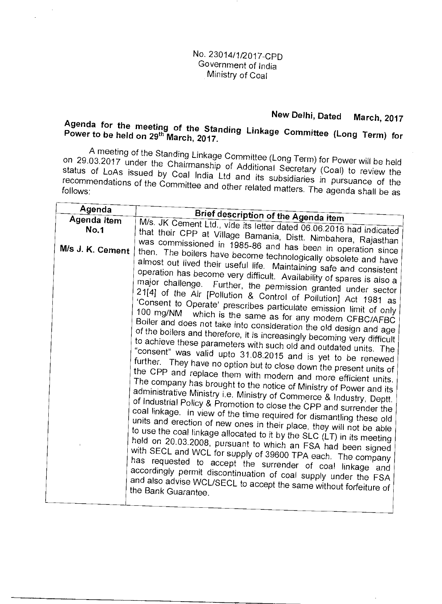#### No. 23014/1/2017-CPD Government of India Ministry of Coal

### **New Delhi, Dated March, 2017**

# **Agenda for the meeting of the Standing Linkage Committee (Long Term) for Power to be held on 29th March, 2017.**

A meeting of the Standing Linkage Committee (Long Term) for Power will be held on 29.03.2017 under the Chairmanship of Additional Secretary (Coal) to review the status of LoAs issued by Coal India Ltd and its subsidiaries in pursuance of the recommendations of the Committee and other related matters. The agenda shall be as

| Agenda           |                                                                                                                                                                                                                                                                                                                                                                                                                                                                                                                                                                                                                                                                                                                                                                                                                                                                                                                                                                                                                                                                                                                                                                                                                                                                                                                                                                                                                                                                                                                                                                                                                                                                                                                                                                                                                                            |
|------------------|--------------------------------------------------------------------------------------------------------------------------------------------------------------------------------------------------------------------------------------------------------------------------------------------------------------------------------------------------------------------------------------------------------------------------------------------------------------------------------------------------------------------------------------------------------------------------------------------------------------------------------------------------------------------------------------------------------------------------------------------------------------------------------------------------------------------------------------------------------------------------------------------------------------------------------------------------------------------------------------------------------------------------------------------------------------------------------------------------------------------------------------------------------------------------------------------------------------------------------------------------------------------------------------------------------------------------------------------------------------------------------------------------------------------------------------------------------------------------------------------------------------------------------------------------------------------------------------------------------------------------------------------------------------------------------------------------------------------------------------------------------------------------------------------------------------------------------------------|
| Agenda Item      | Brief description of the Agenda item                                                                                                                                                                                                                                                                                                                                                                                                                                                                                                                                                                                                                                                                                                                                                                                                                                                                                                                                                                                                                                                                                                                                                                                                                                                                                                                                                                                                                                                                                                                                                                                                                                                                                                                                                                                                       |
| <b>No.1</b>      |                                                                                                                                                                                                                                                                                                                                                                                                                                                                                                                                                                                                                                                                                                                                                                                                                                                                                                                                                                                                                                                                                                                                                                                                                                                                                                                                                                                                                                                                                                                                                                                                                                                                                                                                                                                                                                            |
| M/s J. K. Cement | M/s. JK Cement Ltd., vide its letter dated 06.06.2016 had indicated<br>that their CPP at Village Bamania, Distt. Nimbahera, Rajasthan<br>was commissioned in 1985-86 and has been in operation since<br>then. The boilers have become technologically obsolete and have<br>almost out lived their useful life. Maintaining safe and consistent<br>operation has become very difficult. Availability of spares is also a<br>major challenge. Further, the permission granted under sector<br>21[4] of the Air [Pollution & Control of Pollution] Act 1981 as<br>'Consent to Operate' prescribes particulate emission limit of only<br>100 mg/NM which is the same as for any modern CFBC/AFBC<br>Boiler and does not take into consideration the old design and age<br>of the boilers and therefore, it is increasingly becoming very difficult<br>to achieve these parameters with such old and outdated units. The<br>"consent" was valid upto 31.08.2015 and is yet to be renewed<br>further. They have no option but to close down the present units of<br>the CPP and replace them with modern and more efficient units.<br>The company has brought to the notice of Ministry of Power and its<br>administrative Ministry i.e. Ministry of Commerce & Industry, Deptt.<br>of Industrial Policy & Promotion to close the CPP and surrender the<br>coal linkage. In view of the time required for dismantling these old<br>units and erection of new ones in their place, they will not be able<br>to use the coal linkage allocated to it by the SLC (LT) in its meeting<br>held on 20.03.2008, pursuant to which an FSA had been signed<br>with SECL and WCL for supply of 39600 TPA each. The company<br>has requested to accept the surrender of coal linkage and<br>accordingly permit discontinuation of coal supply under the FSA |
|                  | and also advise WCL/SECL to accept the same without forfeiture of<br>the Bank Guarantee.                                                                                                                                                                                                                                                                                                                                                                                                                                                                                                                                                                                                                                                                                                                                                                                                                                                                                                                                                                                                                                                                                                                                                                                                                                                                                                                                                                                                                                                                                                                                                                                                                                                                                                                                                   |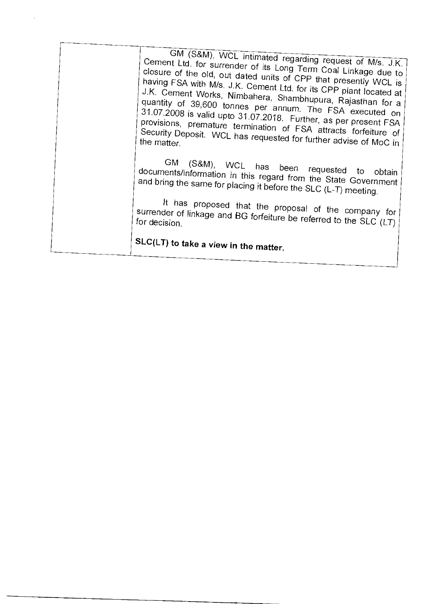| GM (S&M), WCL intimated regarding request of M/s. J.K.<br>Cement Ltd. for surrender of its Long Term Coal Linkage due to<br>closure of the old, out dated units of CPP that presently WCL is<br>having FSA with M/s. J.K. Cement Ltd. for its CPP plant located at<br>J.K. Cement Works, Nimbahera, Shambhupura, Rajasthan for a<br>quantity of 39,600 tonnes per annum. The FSA executed on<br>31.07.2008 is valid upto 31.07.2018. Further, as per present FSA<br>provisions, premature termination of FSA attracts forfeiture of<br>Security Deposit. WCL has requested for further advise of MoC in |  |
|---------------------------------------------------------------------------------------------------------------------------------------------------------------------------------------------------------------------------------------------------------------------------------------------------------------------------------------------------------------------------------------------------------------------------------------------------------------------------------------------------------------------------------------------------------------------------------------------------------|--|
| the matter.                                                                                                                                                                                                                                                                                                                                                                                                                                                                                                                                                                                             |  |
| GM (S&M), WCL has been requested to obtain<br>documents/information in this regard from the State Government<br>and bring the same for placing it before the SLC (L-T) meeting.                                                                                                                                                                                                                                                                                                                                                                                                                         |  |
| It has proposed that the proposal of the company for<br>surrender of linkage and BG forfeiture be referred to the SLC (LT)<br>for decision.                                                                                                                                                                                                                                                                                                                                                                                                                                                             |  |
| SLC(LT) to take a view in the matter.                                                                                                                                                                                                                                                                                                                                                                                                                                                                                                                                                                   |  |
|                                                                                                                                                                                                                                                                                                                                                                                                                                                                                                                                                                                                         |  |

 $\ddot{\phantom{0}}$